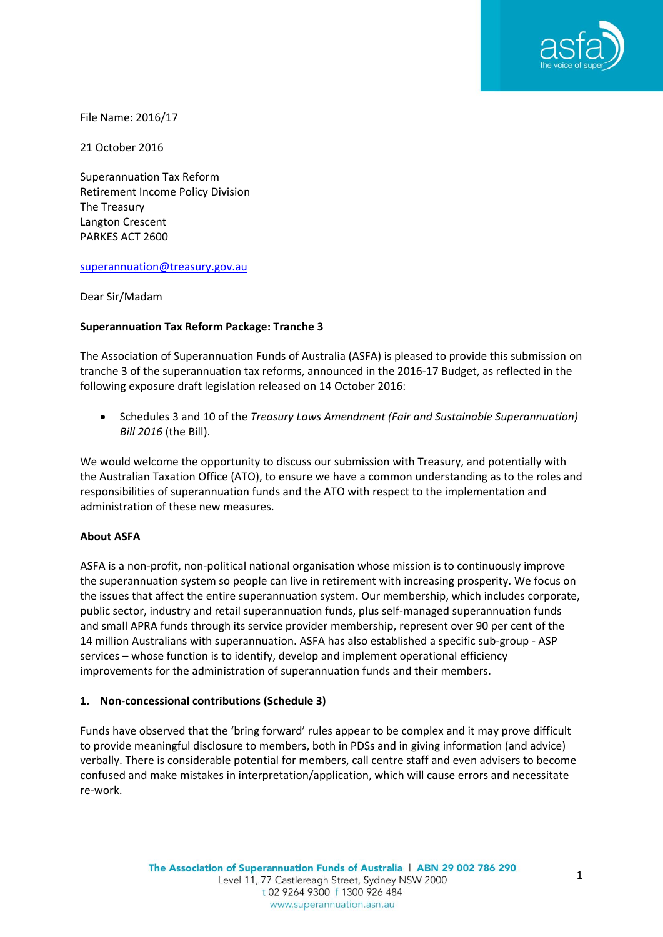

File Name: 2016/17

21 October 2016

Superannuation Tax Reform Retirement Income Policy Division The Treasury Langton Crescent PARKES ACT 2600

#### [superannuation@treasury.gov.au](mailto:superannuation@treasury.gov.au)

Dear Sir/Madam

### **Superannuation Tax Reform Package: Tranche 3**

The Association of Superannuation Funds of Australia (ASFA) is pleased to provide this submission on tranche 3 of the superannuation tax reforms, announced in the 2016-17 Budget, as reflected in the following exposure draft legislation released on 14 October 2016:

 Schedules 3 and 10 of the *Treasury Laws Amendment (Fair and Sustainable Superannuation) Bill 2016* (the Bill).

We would welcome the opportunity to discuss our submission with Treasury, and potentially with the Australian Taxation Office (ATO), to ensure we have a common understanding as to the roles and responsibilities of superannuation funds and the ATO with respect to the implementation and administration of these new measures.

### **About ASFA**

ASFA is a non-profit, non-political national organisation whose mission is to continuously improve the superannuation system so people can live in retirement with increasing prosperity. We focus on the issues that affect the entire superannuation system. Our membership, which includes corporate, public sector, industry and retail superannuation funds, plus self-managed superannuation funds and small APRA funds through its service provider membership, represent over 90 per cent of the 14 million Australians with superannuation. ASFA has also established a specific sub-group - ASP services – whose function is to identify, develop and implement operational efficiency improvements for the administration of superannuation funds and their members.

### **1. Non-concessional contributions (Schedule 3)**

Funds have observed that the 'bring forward' rules appear to be complex and it may prove difficult to provide meaningful disclosure to members, both in PDSs and in giving information (and advice) verbally. There is considerable potential for members, call centre staff and even advisers to become confused and make mistakes in interpretation/application, which will cause errors and necessitate re-work.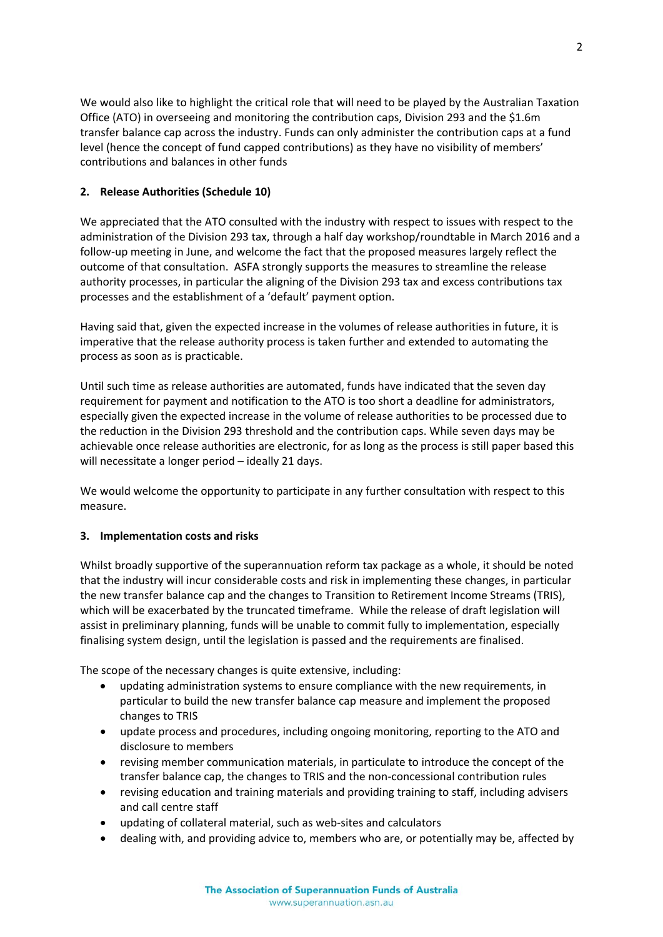We would also like to highlight the critical role that will need to be played by the Australian Taxation Office (ATO) in overseeing and monitoring the contribution caps, Division 293 and the \$1.6m transfer balance cap across the industry. Funds can only administer the contribution caps at a fund level (hence the concept of fund capped contributions) as they have no visibility of members' contributions and balances in other funds

# **2. Release Authorities (Schedule 10)**

We appreciated that the ATO consulted with the industry with respect to issues with respect to the administration of the Division 293 tax, through a half day workshop/roundtable in March 2016 and a follow-up meeting in June, and welcome the fact that the proposed measures largely reflect the outcome of that consultation. ASFA strongly supports the measures to streamline the release authority processes, in particular the aligning of the Division 293 tax and excess contributions tax processes and the establishment of a 'default' payment option.

Having said that, given the expected increase in the volumes of release authorities in future, it is imperative that the release authority process is taken further and extended to automating the process as soon as is practicable.

Until such time as release authorities are automated, funds have indicated that the seven day requirement for payment and notification to the ATO is too short a deadline for administrators, especially given the expected increase in the volume of release authorities to be processed due to the reduction in the Division 293 threshold and the contribution caps. While seven days may be achievable once release authorities are electronic, for as long as the process is still paper based this will necessitate a longer period - ideally 21 days.

We would welcome the opportunity to participate in any further consultation with respect to this measure.

## **3. Implementation costs and risks**

Whilst broadly supportive of the superannuation reform tax package as a whole, it should be noted that the industry will incur considerable costs and risk in implementing these changes, in particular the new transfer balance cap and the changes to Transition to Retirement Income Streams (TRIS), which will be exacerbated by the truncated timeframe. While the release of draft legislation will assist in preliminary planning, funds will be unable to commit fully to implementation, especially finalising system design, until the legislation is passed and the requirements are finalised.

The scope of the necessary changes is quite extensive, including:

- updating administration systems to ensure compliance with the new requirements, in particular to build the new transfer balance cap measure and implement the proposed changes to TRIS
- update process and procedures, including ongoing monitoring, reporting to the ATO and disclosure to members
- revising member communication materials, in particulate to introduce the concept of the transfer balance cap, the changes to TRIS and the non-concessional contribution rules
- revising education and training materials and providing training to staff, including advisers and call centre staff
- updating of collateral material, such as web-sites and calculators
- dealing with, and providing advice to, members who are, or potentially may be, affected by